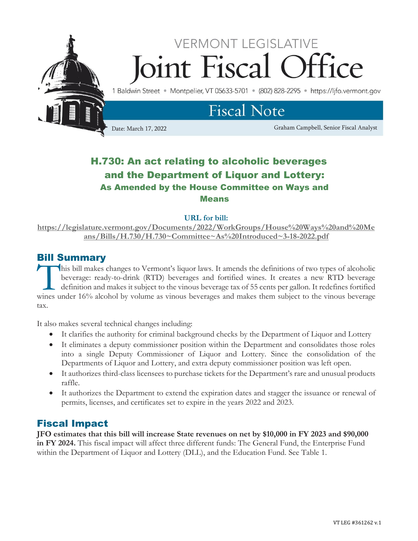

## H.730: An act relating to alcoholic beverages and the Department of Liquor and Lottery: As Amended by the House Committee on Ways and Means

**URL for bill:** 

**[https://legislature.vermont.gov/Documents/2022/WorkGroups/House%20Ways%20and%20Me](https://legislature.vermont.gov/Documents/2022/WorkGroups/House%20Ways%20and%20Means/Bills/H.730/H.730~Committee~As%20Introduced~3-18-2022.pdf) [ans/Bills/H.730/H.730~Committee~As%20Introduced~3-18-2022.pdf](https://legislature.vermont.gov/Documents/2022/WorkGroups/House%20Ways%20and%20Means/Bills/H.730/H.730~Committee~As%20Introduced~3-18-2022.pdf)**

### Bill Summary

his bill makes changes to Vermont's liquor laws. It amends the definitions of two types of alcoholic beverage: ready-to-drink (RTD) beverages and fortified wines. It creates a new RTD beverage definition and makes it subject to the vinous beverage tax of 55 cents per gallon. It redefines fortified This bill makes changes to Vermont's liquor laws. It amends the definitions of two types of alcoholic<br>beverage: ready-to-drink (RTD) beverages and fortified wines. It creates a new RTD beverage<br>definition and makes it subj tax.

It also makes several technical changes including:

- It clarifies the authority for criminal background checks by the Department of Liquor and Lottery
- It eliminates a deputy commissioner position within the Department and consolidates those roles into a single Deputy Commissioner of Liquor and Lottery. Since the consolidation of the Departments of Liquor and Lottery, and extra deputy commissioner position was left open.
- It authorizes third-class licensees to purchase tickets for the Department's rare and unusual products raffle.
- It authorizes the Department to extend the expiration dates and stagger the issuance or renewal of permits, licenses, and certificates set to expire in the years 2022 and 2023.

#### Fiscal Impact

**JFO estimates that this bill will increase State revenues on net by \$10,000 in FY 2023 and \$90,000 in FY 2024.** This fiscal impact will affect three different funds: The General Fund, the Enterprise Fund within the Department of Liquor and Lottery (DLL), and the Education Fund. See Table 1.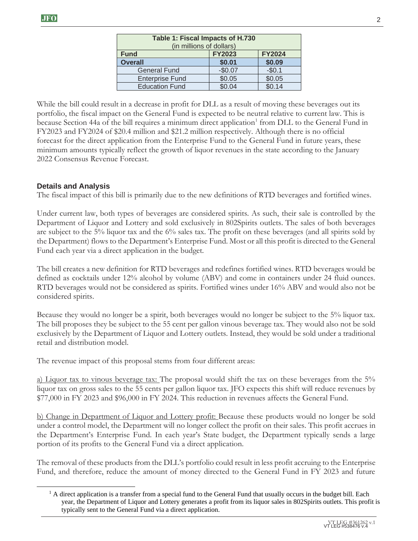| Table 1: Fiscal Impacts of H.730<br>(in millions of dollars) |               |               |
|--------------------------------------------------------------|---------------|---------------|
| <b>Fund</b>                                                  | <b>FY2023</b> | <b>FY2024</b> |
| <b>Overall</b>                                               | \$0.01        | \$0.09        |
| <b>General Fund</b>                                          | $-$0.07$      | $-$0.1$       |
| <b>Enterprise Fund</b>                                       | \$0.05        | \$0.05        |
| <b>Education Fund</b>                                        | \$0.04        | \$0.14        |

While the bill could result in a decrease in profit for DLL as a result of moving these beverages out its portfolio, the fiscal impact on the General Fund is expected to be neutral relative to current law. This is because Section 44a of the bill requires a minimum direct application<sup>1</sup> from DLL to the General Fund in FY2023 and FY2024 of \$20.4 million and \$21.2 million respectively. Although there is no official forecast for the direct application from the Enterprise Fund to the General Fund in future years, these minimum amounts typically reflect the growth of liquor revenues in the state according to the January 2022 Consensus Revenue Forecast.

#### **Details and Analysis**

The fiscal impact of this bill is primarily due to the new definitions of RTD beverages and fortified wines.

Under current law, both types of beverages are considered spirits. As such, their sale is controlled by the Department of Liquor and Lottery and sold exclusively in 802Spirits outlets. The sales of both beverages are subject to the 5% liquor tax and the 6% sales tax. The profit on these beverages (and all spirits sold by the Department) flows to the Department's Enterprise Fund. Most or all this profit is directed to the General Fund each year via a direct application in the budget.

The bill creates a new definition for RTD beverages and redefines fortified wines. RTD beverages would be defined as cocktails under 12% alcohol by volume (ABV) and come in containers under 24 fluid ounces. RTD beverages would not be considered as spirits. Fortified wines under 16% ABV and would also not be considered spirits.

Because they would no longer be a spirit, both beverages would no longer be subject to the 5% liquor tax. The bill proposes they be subject to the 55 cent per gallon vinous beverage tax. They would also not be sold exclusively by the Department of Liquor and Lottery outlets. Instead, they would be sold under a traditional retail and distribution model.

The revenue impact of this proposal stems from four different areas:

a) Liquor tax to vinous beverage tax: The proposal would shift the tax on these beverages from the 5% liquor tax on gross sales to the 55 cents per gallon liquor tax. JFO expects this shift will reduce revenues by \$77,000 in FY 2023 and \$96,000 in FY 2024. This reduction in revenues affects the General Fund.

b) Change in Department of Liquor and Lottery profit: Because these products would no longer be sold under a control model, the Department will no longer collect the profit on their sales. This profit accrues in the Department's Enterprise Fund. In each year's State budget, the Department typically sends a large portion of its profits to the General Fund via a direct application.

The removal of these products from the DLL's portfolio could result in less profit accruing to the Enterprise Fund, and therefore, reduce the amount of money directed to the General Fund in FY 2023 and future

 $<sup>1</sup>$  A direct application is a transfer from a special fund to the General Fund that usually occurs in the budget bill. Each</sup> year, the Department of Liquor and Lottery generates a profit from its liquor sales in 802Spirits outlets. This profit is typically sent to the General Fund via a direct application.